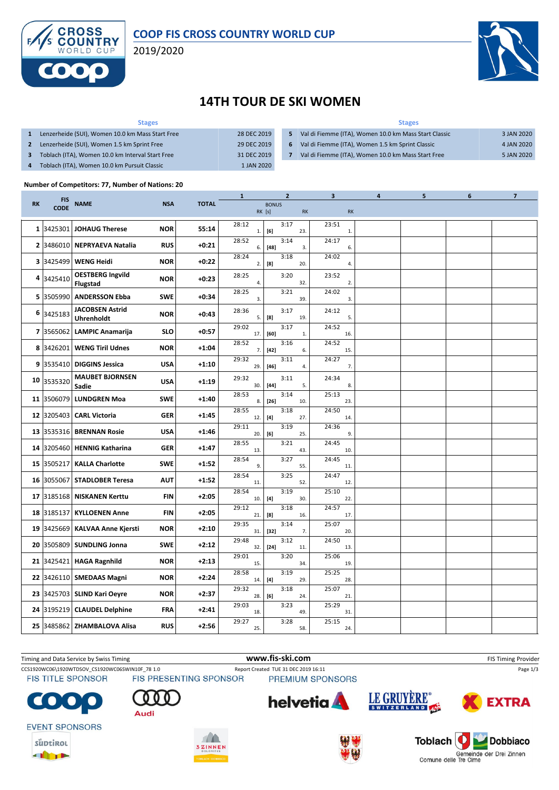

### **COOP FIS CROSS COUNTRY WORLD CUP**

2019/2020



## **14TH TOUR DE SKI WOMEN**

| <b>Stages</b>                                    |             | <b>Stages</b> |                                                       |            |  |  |  |  |
|--------------------------------------------------|-------------|---------------|-------------------------------------------------------|------------|--|--|--|--|
| Lenzerheide (SUI), Women 10.0 km Mass Start Free | 28 DEC 2019 | 5             | Val di Fiemme (ITA), Women 10.0 km Mass Start Classic | 3 JAN 2020 |  |  |  |  |
| Lenzerheide (SUI), Women 1.5 km Sprint Free      | 29 DEC 2019 | 6             | Val di Fiemme (ITA), Women 1.5 km Sprint Classic      | 4 JAN 2020 |  |  |  |  |
| Toblach (ITA), Women 10.0 km Interval Start Free | 31 DEC 2019 |               | Val di Fiemme (ITA), Women 10.0 km Mass Start Free    | 5 JAN 2020 |  |  |  |  |
| Toblach (ITA), Women 10.0 km Pursuit Classic     | 1 JAN 2020  |               |                                                       |            |  |  |  |  |

#### **Number of Competitors: 77, Number of Nations: 20**

|           |                           |                                             |            |              | $\mathbf{1}$ | 2                                                                                                                                                                                                                                         |               | 3                     | 4 | 5 | 6 | 7 |
|-----------|---------------------------|---------------------------------------------|------------|--------------|--------------|-------------------------------------------------------------------------------------------------------------------------------------------------------------------------------------------------------------------------------------------|---------------|-----------------------|---|---|---|---|
| <b>RK</b> | <b>FIS</b><br><b>CODE</b> | <b>NAME</b>                                 | <b>NSA</b> | <b>TOTAL</b> |              | <b>BONUS</b><br>RK [s]                                                                                                                                                                                                                    | $\mathsf{RK}$ | <b>RK</b>             |   |   |   |   |
|           | 1 3425301                 | <b>JOHAUG Therese</b>                       | <b>NOR</b> | 55:14        | 28:12<br>1.  | 3:17<br>[6]                                                                                                                                                                                                                               | 23.           | 23:51<br>$\mathbf{1}$ |   |   |   |   |
|           | 2 3486010                 | <b>NEPRYAEVA Natalia</b>                    | <b>RUS</b> | $+0:21$      | 28:52<br>6.  | 3:14<br>$[48]$                                                                                                                                                                                                                            | 3.            | 24:17<br>6.           |   |   |   |   |
|           | 3 3425499                 | <b>WENG Heidi</b>                           | <b>NOR</b> | $+0:22$      | 28:24<br>2.  | 3:18<br>[8]                                                                                                                                                                                                                               | 20.           | 24:02<br>4.           |   |   |   |   |
|           | 4 3425410                 | <b>OESTBERG Ingvild</b><br><b>Flugstad</b>  | <b>NOR</b> | $+0:23$      | 28:25<br>4.  | 3:20                                                                                                                                                                                                                                      | 32.           | 23:52<br>2.           |   |   |   |   |
|           | 5 3505990                 | <b>ANDERSSON Ebba</b>                       | <b>SWE</b> | $+0:34$      | 28:25<br>3.  | 3:21                                                                                                                                                                                                                                      | 39.           | 24:02<br>3.           |   |   |   |   |
|           | 6 3425183                 | <b>JACOBSEN Astrid</b><br><b>Uhrenholdt</b> | <b>NOR</b> | $+0:43$      | 28:36<br>5.  | 3:17<br>[8]                                                                                                                                                                                                                               | 19.           | 24:12<br>5.           |   |   |   |   |
|           | 7 3565062                 | <b>LAMPIC Anamarija</b>                     | <b>SLO</b> | $+0:57$      | 29:02<br>17. | 3:17<br>[60]                                                                                                                                                                                                                              | 1.            | 24:52<br>16.          |   |   |   |   |
|           | 8 3426201                 | <b>WENG Tiril Udnes</b>                     | <b>NOR</b> | $+1:04$      | 28:52<br>7.  | 3:16<br>$[42]$                                                                                                                                                                                                                            | 6.            | 24:52<br>15.          |   |   |   |   |
|           | 9 3535410                 | <b>DIGGINS Jessica</b>                      | <b>USA</b> | +1:10        | 29:32<br>29. | 3:11<br>$[46]$                                                                                                                                                                                                                            | 4.            | 24:27<br>7.           |   |   |   |   |
|           | 10 3535320                | <b>MAUBET BJORNSEN</b><br>Sadie             | <b>USA</b> | $+1:19$      | 29:32<br>30. | 3:11<br>$[44]$                                                                                                                                                                                                                            | 5.            | 24:34<br>8.           |   |   |   |   |
|           | 11 3506079                | <b>LUNDGREN Moa</b>                         | <b>SWE</b> | $+1:40$      | 28:53<br>8.  | 3:14<br>$[26]$                                                                                                                                                                                                                            | 10.           | 25:13<br>23.          |   |   |   |   |
|           | 12 3205403                | <b>CARL Victoria</b>                        | <b>GER</b> | $+1:45$      | 28:55<br>12. | 3:18<br>$[4] \centering% \includegraphics[width=1\textwidth]{images/TransY.pdf} \caption{The first two different values of $d=3$ and $d=4$ (left) and $d=5$ (right). The first two different values of $d=3$ (right).} \label{fig:class}$ | 27.           | 24:50<br>14.          |   |   |   |   |
|           | 13 3535316                | <b>BRENNAN Rosie</b>                        | <b>USA</b> | $+1:46$      | 29:11<br>20. | 3:19<br>[6]                                                                                                                                                                                                                               | 25.           | 24:36<br>9.           |   |   |   |   |
|           | 14 3205460                | <b>HENNIG Katharina</b>                     | <b>GER</b> | $+1:47$      | 28:55<br>13. | 3:21                                                                                                                                                                                                                                      | 43.           | 24:45<br>10.          |   |   |   |   |
|           | 15 3505217                | <b>KALLA Charlotte</b>                      | <b>SWE</b> | $+1:52$      | 28:54<br>9.  | 3:27                                                                                                                                                                                                                                      | 55.           | 24:45<br>11.          |   |   |   |   |
|           | 16 3055067                | <b>STADLOBER Teresa</b>                     | <b>AUT</b> | $+1:52$      | 28:54<br>11. | 3:25                                                                                                                                                                                                                                      | 52.           | 24:47<br>12.          |   |   |   |   |
|           | 17 3185168                | <b>NISKANEN Kerttu</b>                      | <b>FIN</b> | $+2:05$      | 28:54<br>10. | 3:19<br>[4]                                                                                                                                                                                                                               | 30.           | 25:10<br>22.          |   |   |   |   |
|           | 18 3185137                | <b>KYLLOENEN Anne</b>                       | <b>FIN</b> | $+2:05$      | 29:12<br>21. | 3:18<br>[8]                                                                                                                                                                                                                               | 16.           | 24:57<br>17.          |   |   |   |   |
|           | 19 3425669                | <b>KALVAA Anne Kjersti</b>                  | <b>NOR</b> | $+2:10$      | 29:35<br>31. | 3:14<br>$[32]$                                                                                                                                                                                                                            | 7.            | 25:07<br>20.          |   |   |   |   |
|           |                           | 20 3505809 SUNDLING Jonna                   | <b>SWE</b> | +2:12        | 29:48<br>32. | 3:12<br>$[24]$                                                                                                                                                                                                                            | 11.           | 24:50<br>13.          |   |   |   |   |
|           | 21 3425421                | <b>HAGA Ragnhild</b>                        | <b>NOR</b> | $+2:13$      | 29:01<br>15. | 3:20                                                                                                                                                                                                                                      | 34.           | 25:06<br>19.          |   |   |   |   |
|           |                           | 22 3426110 SMEDAAS Magni                    | <b>NOR</b> | $+2:24$      | 28:58<br>14. | 3:19<br>$[4]$                                                                                                                                                                                                                             | 29.           | 25:25<br>28.          |   |   |   |   |
|           |                           | 23 3425703 SLIND Kari Oeyre                 | <b>NOR</b> | $+2:37$      | 29:32<br>28. | 3:18<br>[6]                                                                                                                                                                                                                               | 24.           | 25:07<br>21.          |   |   |   |   |
|           |                           | 24 3195219 CLAUDEL Delphine                 | FRA        | $+2:41$      | 29:03<br>18. | 3:23                                                                                                                                                                                                                                      | 49.           | 25:29<br>31.          |   |   |   |   |
|           |                           | 25 3485862 ZHAMBALOVA Alisa                 | <b>RUS</b> | $+2:56$      | 29:27<br>25. | 3:28                                                                                                                                                                                                                                      | 58.           | 25:15<br>24.          |   |   |   |   |

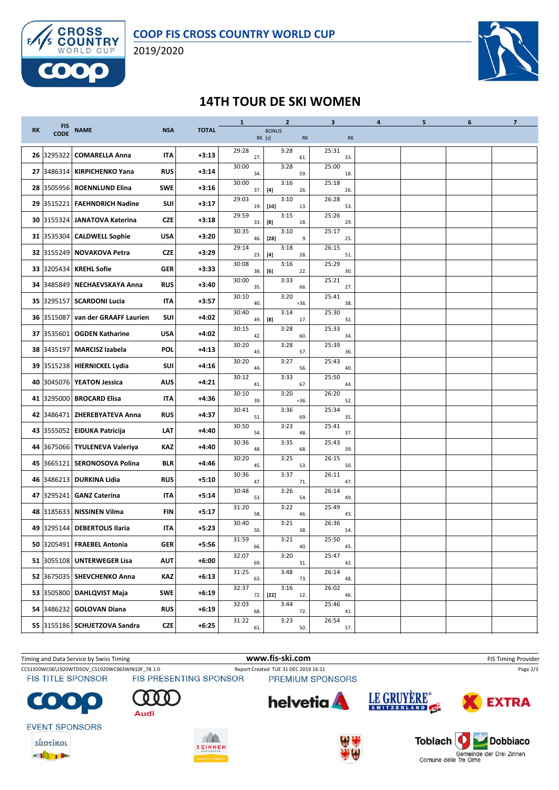

2019/2020



## **14TH TOUR DE SKI WOMEN**

|           |                           |                               |            |              | $\mathbf{1}$ | $\overline{2}$                                                                                                                                                                                                                                   | 3            | $\overline{\mathbf{4}}$ | 5 | 6 | $\overline{7}$ |
|-----------|---------------------------|-------------------------------|------------|--------------|--------------|--------------------------------------------------------------------------------------------------------------------------------------------------------------------------------------------------------------------------------------------------|--------------|-------------------------|---|---|----------------|
| <b>RK</b> | <b>FIS</b><br><b>CODE</b> | <b>NAME</b>                   | <b>NSA</b> | <b>TOTAL</b> |              | <b>BONUS</b><br>RK [s]<br>RK                                                                                                                                                                                                                     | <b>RK</b>    |                         |   |   |                |
| 26        | 3295322                   | <b>COMARELLA Anna</b>         | <b>ITA</b> | $+3:13$      | 29:28<br>27. | 3:28<br>61.                                                                                                                                                                                                                                      | 25:31<br>33. |                         |   |   |                |
| 27        |                           | 3486314 KIRPICHENKO Yana      | <b>RUS</b> | $+3:14$      | 30:00<br>34. | 3:28<br>59.                                                                                                                                                                                                                                      | 25:00<br>18. |                         |   |   |                |
|           |                           | 28 3505956 ROENNLUND Elina    | <b>SWE</b> | $+3:16$      | 30:00<br>37. | 3:16<br>$[4] \centering% \includegraphics[width=1\textwidth]{images/TransY.pdf} \caption{The first two different values of $d=3$ and $d=4$ (left) and $d=5$ (right). The first two different values of $d=3$ (right).} \label{fig:class}$<br>26. | 25:18<br>26. |                         |   |   |                |
|           |                           | 29 3515221 FAEHNDRICH Nadine  | SUI        | $+3:17$      | 29:03<br>19. | 3:10<br>$[10]$<br>13.                                                                                                                                                                                                                            | 26:28<br>53. |                         |   |   |                |
|           | 30 3155324                | JANATOVA Katerina             | <b>CZE</b> | $+3:18$      | 29:59<br>33. | 3:15<br>[8]<br>18.                                                                                                                                                                                                                               | 25:26<br>29. |                         |   |   |                |
|           |                           | 31 3535304 CALDWELL Sophie    | <b>USA</b> | $+3:20$      | 30:35<br>46. | 3:10<br>$[28]$<br>9.                                                                                                                                                                                                                             | 25:17<br>25. |                         |   |   |                |
|           |                           | 32 3155249 NOVAKOVA Petra     | <b>CZE</b> | $+3:29$      | 29:14<br>23. | 3:18<br>28.<br>$[4]$                                                                                                                                                                                                                             | 26:15<br>51. |                         |   |   |                |
|           |                           | 33 3205434 KREHL Sofie        | <b>GER</b> | $+3:33$      | 30:08<br>38. | 3:16<br>[6]<br>22.                                                                                                                                                                                                                               | 25:29<br>30. |                         |   |   |                |
| 34        | 3485849                   | NECHAEVSKAYA Anna             | <b>RUS</b> | $+3:40$      | 30:00<br>35. | 3:33<br>66.                                                                                                                                                                                                                                      | 25:21<br>27. |                         |   |   |                |
|           |                           | 35 3295157 SCARDONI Lucia     | IΤΑ        | $+3:57$      | 30:10<br>40. | 3:20<br>$= 36.$                                                                                                                                                                                                                                  | 25:41<br>38. |                         |   |   |                |
|           | 36 3515087                | van der GRAAFF Laurien        | SUI        | $+4:02$      | 30:40<br>49. | 3:14<br>[8]<br>17.                                                                                                                                                                                                                               | 25:30<br>32. |                         |   |   |                |
|           |                           | 37 3535601 OGDEN Katharine    | <b>USA</b> | $+4:02$      | 30:15<br>42. | 3:28<br>60.                                                                                                                                                                                                                                      | 25:33<br>34. |                         |   |   |                |
| 38        | 3435197                   | <b>MARCISZ Izabela</b>        | <b>POL</b> | $+4:13$      | 30:20<br>43. | 3:28<br>57.                                                                                                                                                                                                                                      | 25:39<br>36. |                         |   |   |                |
|           |                           | 39 3515238 HIERNICKEL Lydia   | SUI        | $+4:16$      | 30:20<br>44. | 3:27<br>56.                                                                                                                                                                                                                                      | 25:43<br>40. |                         |   |   |                |
| 40        |                           | 3045076 YEATON Jessica        | <b>AUS</b> | $+4:21$      | 30:12<br>41. | 3:33<br>67.                                                                                                                                                                                                                                      | 25:50<br>44. |                         |   |   |                |
|           |                           | 41 3295000 BROCARD Elisa      | IΤΑ        | +4:36        | 30:10<br>39. | 3:20<br>$= 36.$                                                                                                                                                                                                                                  | 26:20<br>52. |                         |   |   |                |
|           |                           | 42 3486471 ZHEREBYATEVA Anna  | <b>RUS</b> | $+4:37$      | 30:41<br>51. | 3:36<br>69.                                                                                                                                                                                                                                      | 25:34<br>35. |                         |   |   |                |
|           |                           | 43 3555052 EIDUKA Patricija   | LAT        | $+4:40$      | 30:50<br>54. | 3:23<br>48.                                                                                                                                                                                                                                      | 25:41<br>37. |                         |   |   |                |
|           |                           | 44 3675066 TYULENEVA Valeriya | KAZ        | $+4:40$      | 30:36<br>48. | 3:35<br>68.                                                                                                                                                                                                                                      | 25:43<br>39. |                         |   |   |                |
|           |                           | 45 3665121 SERONOSOVA Polina  | <b>BLR</b> | $+4:46$      | 30:20<br>45. | 3:25<br>53.                                                                                                                                                                                                                                      | 26:15<br>50. |                         |   |   |                |
| 46        | 3486213                   | <b>DURKINA Lidia</b>          | <b>RUS</b> | $+5:10$      | 30:36<br>47. | 3:37<br>71.                                                                                                                                                                                                                                      | 26:11<br>47. |                         |   |   |                |
|           |                           | 47 3295241 GANZ Caterina      | IΤΑ        | $+5:14$      | 30:48<br>53. | 3:26<br>54.                                                                                                                                                                                                                                      | 26:14<br>49. |                         |   |   |                |
| 48        | 3185633                   | <b>NISSINEN Vilma</b>         | <b>FIN</b> | $+5:17$      | 31:20<br>58. | 3:22<br>46.                                                                                                                                                                                                                                      | 25:49<br>43. |                         |   |   |                |
| 49        |                           | 3295144   DEBERTOLIS Ilaria   | IΤΑ        | $+5:23$      | 30:40<br>50. | 3:21<br>38.                                                                                                                                                                                                                                      | 26:36<br>54. |                         |   |   |                |
|           |                           | 50 3205491 FRAEBEL Antonia    | <b>GER</b> | $+5:56$      | 31:59<br>66. | 3:21<br>40.                                                                                                                                                                                                                                      | 25:50<br>45. |                         |   |   |                |
|           |                           | 51 3055108 UNTERWEGER Lisa    | <b>AUT</b> | $+6:00$      | 32:07<br>69. | 3:20<br>31.                                                                                                                                                                                                                                      | 25:47<br>42. |                         |   |   |                |
|           |                           | 52 3675035 SHEVCHENKO Anna    | KAZ        | $+6:13$      | 31:25<br>63. | 3:48<br>73.                                                                                                                                                                                                                                      | 26:14<br>48. |                         |   |   |                |
|           |                           | 53 3505800 DAHLQVIST Maja     | SWE        | $+6:19$      | 32:37<br>72. | 3:16<br>$[22]$<br>12.                                                                                                                                                                                                                            | 26:02<br>46. |                         |   |   |                |
|           |                           | 54 3486232 GOLOVAN Diana      | <b>RUS</b> | $+6:19$      | 32:03<br>68. | 3:44<br>72.                                                                                                                                                                                                                                      | 25:46<br>41. |                         |   |   |                |
|           |                           | 55 3155186 SCHUETZOVA Sandra  | <b>CZE</b> | $+6:25$      | 31:22<br>61. | 3:23<br>50.                                                                                                                                                                                                                                      | 26:54<br>57. |                         |   |   |                |